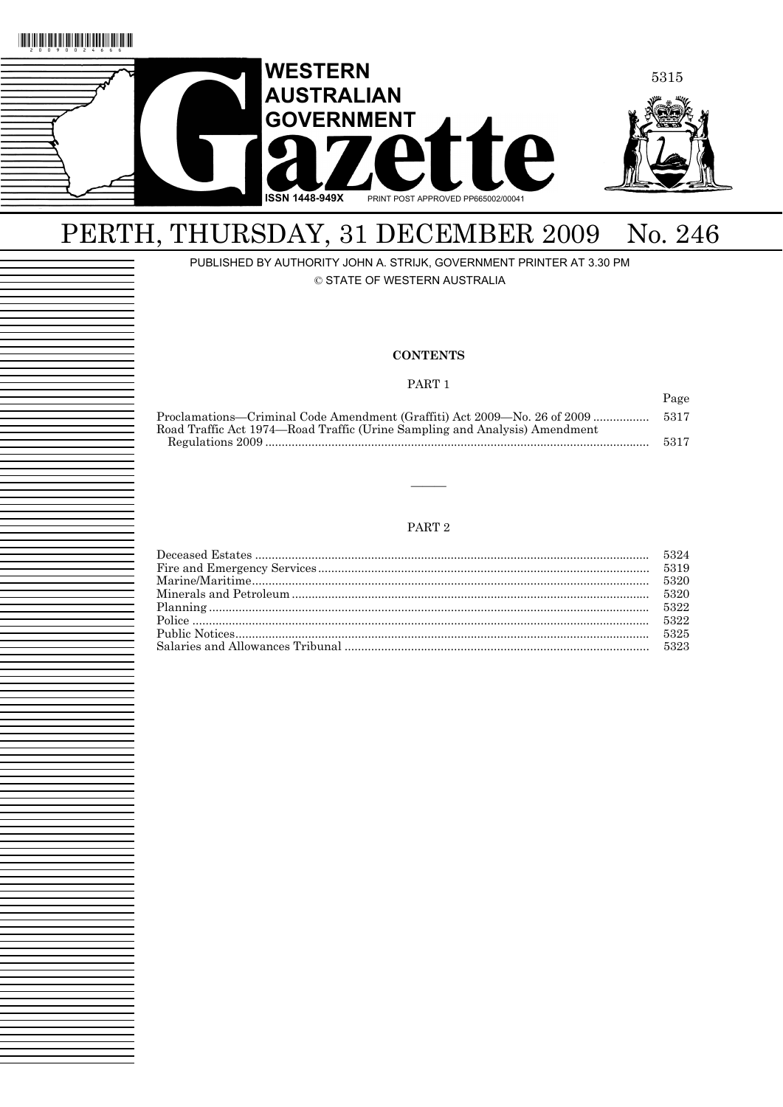

## PERTH, THURSDAY, 31 DECEMBER 2009 No. 246

PUBLISHED BY AUTHORITY JOHN A. STRIJK, GOVERNMENT PRINTER AT 3.30 PM

© STATE OF WESTERN AUSTRALIA

#### **CONTENTS**

PART 1

Page

| Proclamations—Criminal Code Amendment (Graffiti) Act 2009—No. 26 of 2009   | 5317 |
|----------------------------------------------------------------------------|------|
| Road Traffic Act 1974—Road Traffic (Urine Sampling and Analysis) Amendment |      |
|                                                                            | 5317 |
|                                                                            |      |

#### PART 2

———

|  | 5323 |
|--|------|
|  |      |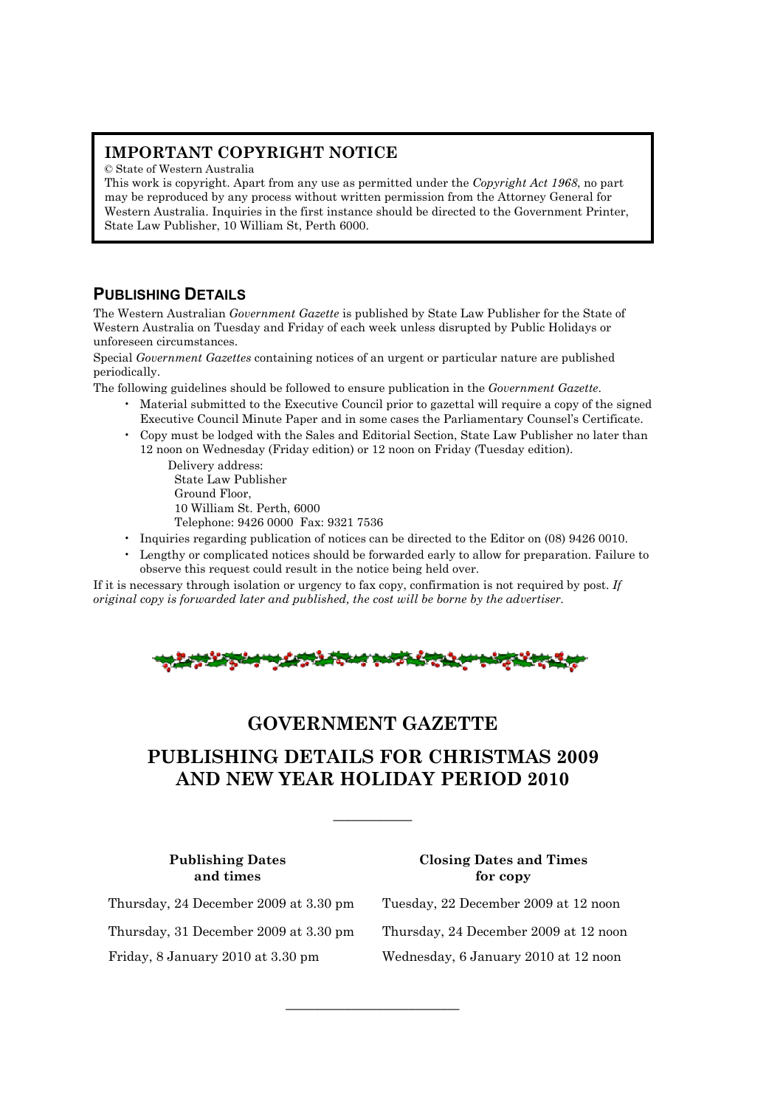## **IMPORTANT COPYRIGHT NOTICE**

© State of Western Australia

This work is copyright. Apart from any use as permitted under the *Copyright Act 1968*, no part may be reproduced by any process without written permission from the Attorney General for Western Australia. Inquiries in the first instance should be directed to the Government Printer, State Law Publisher, 10 William St, Perth 6000.

## **PUBLISHING DETAILS**

The Western Australian *Government Gazette* is published by State Law Publisher for the State of Western Australia on Tuesday and Friday of each week unless disrupted by Public Holidays or unforeseen circumstances.

Special *Government Gazettes* containing notices of an urgent or particular nature are published periodically.

The following guidelines should be followed to ensure publication in the *Government Gazette*.

- Material submitted to the Executive Council prior to gazettal will require a copy of the signed Executive Council Minute Paper and in some cases the Parliamentary Counsel's Certificate.
- Copy must be lodged with the Sales and Editorial Section, State Law Publisher no later than 12 noon on Wednesday (Friday edition) or 12 noon on Friday (Tuesday edition).

Delivery address: State Law Publisher Ground Floor, 10 William St. Perth, 6000 Telephone: 9426 0000 Fax: 9321 7536

- Inquiries regarding publication of notices can be directed to the Editor on (08) 9426 0010.
- Lengthy or complicated notices should be forwarded early to allow for preparation. Failure to observe this request could result in the notice being held over.

If it is necessary through isolation or urgency to fax copy, confirmation is not required by post. *If original copy is forwarded later and published, the cost will be borne by the advertiser.* 



## **GOVERNMENT GAZETTE**

## **PUBLISHING DETAILS FOR CHRISTMAS 2009 AND NEW YEAR HOLIDAY PERIOD 2010**

—————

———————————

#### **Publishing Dates Closing Dates and Times and times** for copy

Thursday, 24 December 2009 at 3.30 pm Tuesday, 22 December 2009 at 12 noon Thursday, 31 December 2009 at 3.30 pm Thursday, 24 December 2009 at 12 noon Friday, 8 January 2010 at 3.30 pm Wednesday, 6 January 2010 at 12 noon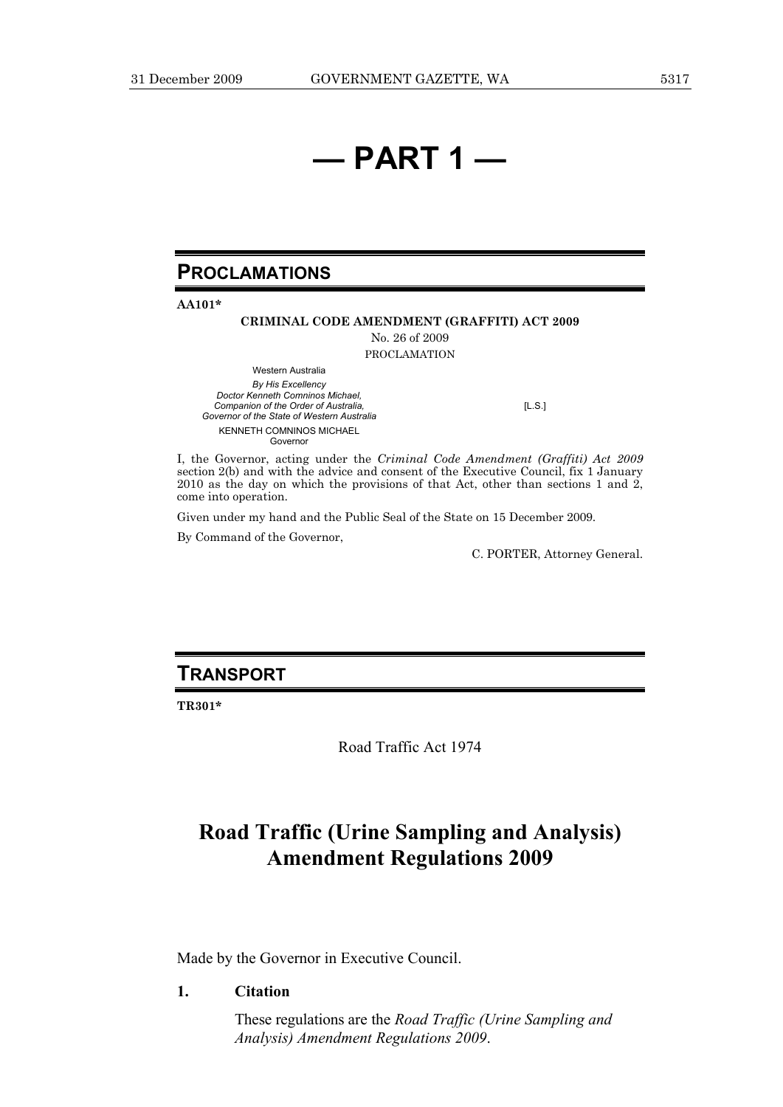# **— PART 1 —**

## **PROCLAMATIONS**

**AA101\*** 

#### **CRIMINAL CODE AMENDMENT (GRAFFITI) ACT 2009**

No. 26 of 2009 PROCLAMATION

Western Australia *By His Excellency Doctor Kenneth Comninos Michael, Companion of the Order of Australia, Governor of the State of Western Australia*  KENNETH COMNINOS MICHAEL Governor

[L.S.]

I, the Governor, acting under the *Criminal Code Amendment (Graffiti) Act 2009* section 2(b) and with the advice and consent of the Executive Council, fix 1 January 2010 as the day on which the provisions of that Act, other than sections 1 and 2, come into operation.

Given under my hand and the Public Seal of the State on 15 December 2009.

By Command of the Governor,

C. PORTER, Attorney General.

## **TRANSPORT**

**TR301\*** 

Road Traffic Act 1974

## **Road Traffic (Urine Sampling and Analysis) Amendment Regulations 2009**

Made by the Governor in Executive Council.

#### **1. Citation**

 These regulations are the *Road Traffic (Urine Sampling and Analysis) Amendment Regulations 2009*.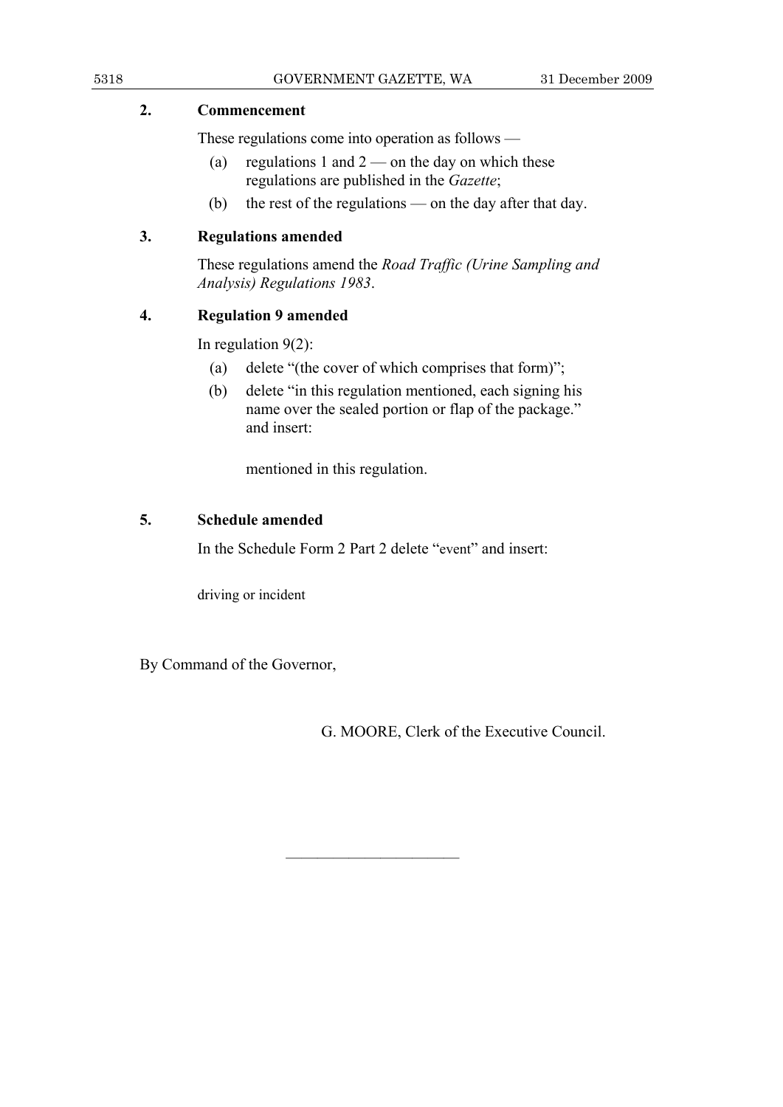## **2. Commencement**

These regulations come into operation as follows —

- (a) regulations 1 and  $2$  on the day on which these regulations are published in the *Gazette*;
- (b) the rest of the regulations on the day after that day.

## **3. Regulations amended**

 These regulations amend the *Road Traffic (Urine Sampling and Analysis) Regulations 1983*.

## **4. Regulation 9 amended**

In regulation 9(2):

- (a) delete "(the cover of which comprises that form)";
- (b) delete "in this regulation mentioned, each signing his name over the sealed portion or flap of the package." and insert:

mentioned in this regulation.

## **5. Schedule amended**

In the Schedule Form 2 Part 2 delete "event" and insert:

———————————

driving or incident

By Command of the Governor,

G. MOORE, Clerk of the Executive Council.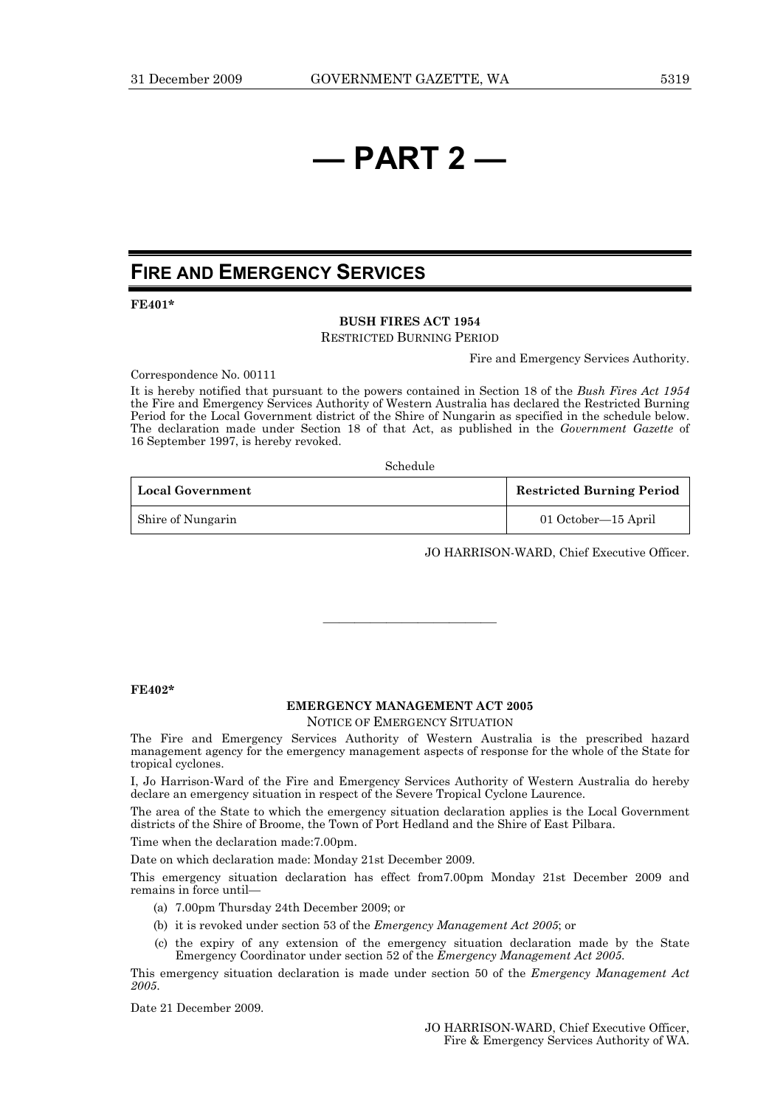# **— PART 2 —**

## **FIRE AND EMERGENCY SERVICES**

**FE401\*** 

#### **BUSH FIRES ACT 1954**

RESTRICTED BURNING PERIOD

Fire and Emergency Services Authority.

Correspondence No. 00111

It is hereby notified that pursuant to the powers contained in Section 18 of the *Bush Fires Act 1954* the Fire and Emergency Services Authority of Western Australia has declared the Restricted Burning Period for the Local Government district of the Shire of Nungarin as specified in the schedule below. The declaration made under Section 18 of that Act, as published in the *Government Gazette* of 16 September 1997, is hereby revoked.

Schedule

| <b>Local Government</b> | <b>Restricted Burning Period</b> |
|-------------------------|----------------------------------|
| Shire of Nungarin       | 01 October—15 April              |

JO HARRISON-WARD, Chief Executive Officer.

#### **FE402\***

#### **EMERGENCY MANAGEMENT ACT 2005**

———————————

NOTICE OF EMERGENCY SITUATION

The Fire and Emergency Services Authority of Western Australia is the prescribed hazard management agency for the emergency management aspects of response for the whole of the State for tropical cyclones.

I, Jo Harrison-Ward of the Fire and Emergency Services Authority of Western Australia do hereby declare an emergency situation in respect of the Severe Tropical Cyclone Laurence.

The area of the State to which the emergency situation declaration applies is the Local Government districts of the Shire of Broome, the Town of Port Hedland and the Shire of East Pilbara.

Time when the declaration made:7.00pm.

Date on which declaration made: Monday 21st December 2009.

This emergency situation declaration has effect from7.00pm Monday 21st December 2009 and remains in force until—

- (a) 7.00pm Thursday 24th December 2009; or
- (b) it is revoked under section 53 of the *Emergency Management Act 2005*; or
- (c) the expiry of any extension of the emergency situation declaration made by the State Emergency Coordinator under section 52 of the *Emergency Management Act 2005*.

This emergency situation declaration is made under section 50 of the *Emergency Management Act 2005*.

Date 21 December 2009.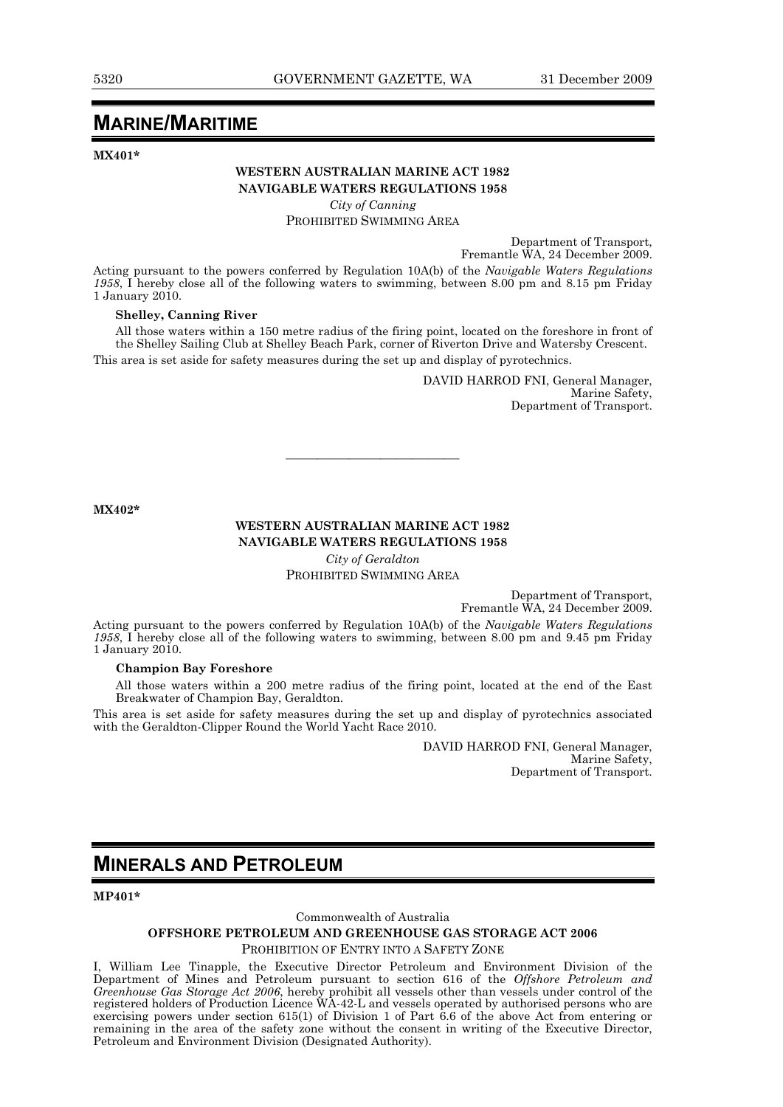## **MARINE/MARITIME**

**MX401\*** 

#### **WESTERN AUSTRALIAN MARINE ACT 1982 NAVIGABLE WATERS REGULATIONS 1958**

*City of Canning* 

PROHIBITED SWIMMING AREA

Department of Transport, Fremantle WA, 24 December 2009.

Acting pursuant to the powers conferred by Regulation 10A(b) of the *Navigable Waters Regulations 1958*, I hereby close all of the following waters to swimming, between 8.00 pm and 8.15 pm Friday 1 January 2010.

#### **Shelley, Canning River**

All those waters within a 150 metre radius of the firing point, located on the foreshore in front of the Shelley Sailing Club at Shelley Beach Park, corner of Riverton Drive and Watersby Crescent.

This area is set aside for safety measures during the set up and display of pyrotechnics.

DAVID HARROD FNI, General Manager, Marine Safety, Department of Transport.

**MX402\*** 

### **WESTERN AUSTRALIAN MARINE ACT 1982 NAVIGABLE WATERS REGULATIONS 1958**

———————————

*City of Geraldton*  PROHIBITED SWIMMING AREA

> Department of Transport, Fremantle WA, 24 December 2009.

Acting pursuant to the powers conferred by Regulation 10A(b) of the *Navigable Waters Regulations 1958*, I hereby close all of the following waters to swimming, between 8.00 pm and 9.45 pm Friday 1 January 2010.

#### **Champion Bay Foreshore**

All those waters within a 200 metre radius of the firing point, located at the end of the East Breakwater of Champion Bay, Geraldton.

This area is set aside for safety measures during the set up and display of pyrotechnics associated with the Geraldton-Clipper Round the World Yacht Race 2010.

> DAVID HARROD FNI, General Manager, Marine Safety, Department of Transport.

## **MINERALS AND PETROLEUM**

**MP401\*** 

#### Commonwealth of Australia

#### **OFFSHORE PETROLEUM AND GREENHOUSE GAS STORAGE ACT 2006**

#### PROHIBITION OF ENTRY INTO A SAFETY ZONE

I, William Lee Tinapple, the Executive Director Petroleum and Environment Division of the Department of Mines and Petroleum pursuant to section 616 of the *Offshore Petroleum and Greenhouse Gas Storage Act 2006*, hereby prohibit all vessels other than vessels under control of the registered holders of Production Licence WA-42-L and vessels operated by authorised persons who are exercising powers under section 615(1) of Division 1 of Part 6.6 of the above Act from entering or remaining in the area of the safety zone without the consent in writing of the Executive Director, Petroleum and Environment Division (Designated Authority).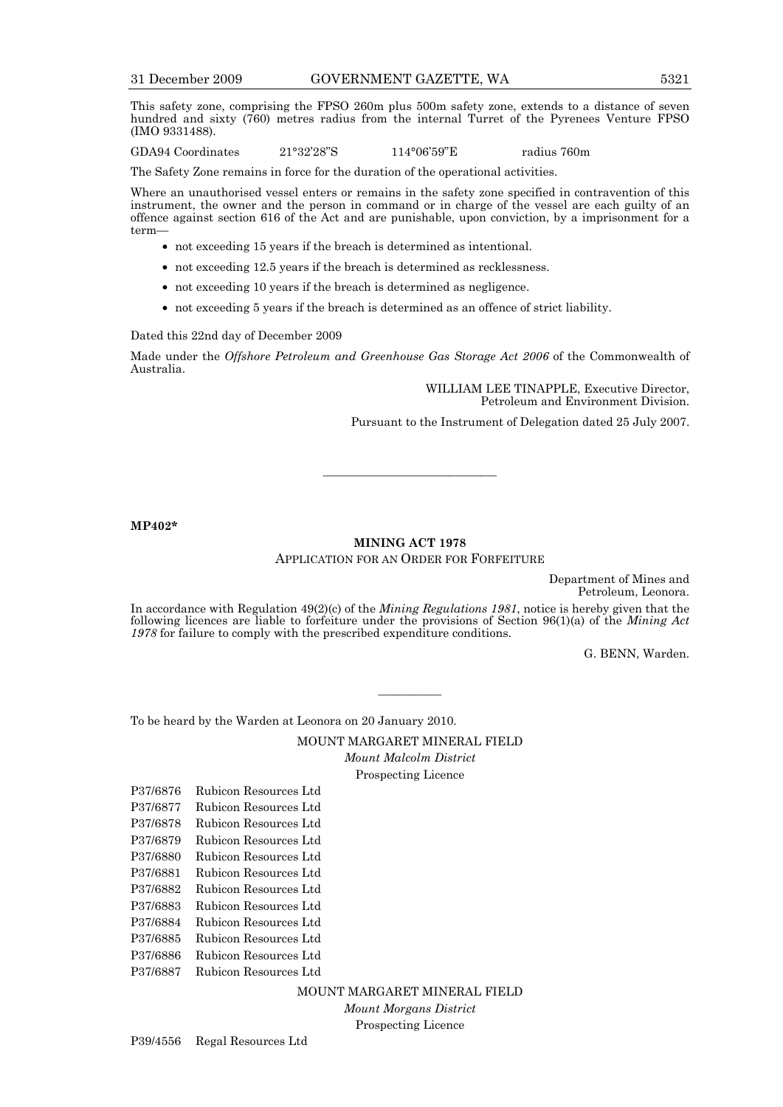This safety zone, comprising the FPSO 260m plus 500m safety zone, extends to a distance of seven hundred and sixty (760) metres radius from the internal Turret of the Pyrenees Venture FPSO (IMO 9331488).

GDA94 Coordinates 21°32'28"S 114°06'59"E radius 760m

The Safety Zone remains in force for the duration of the operational activities.

Where an unauthorised vessel enters or remains in the safety zone specified in contravention of this instrument, the owner and the person in command or in charge of the vessel are each guilty of an offence against section 616 of the Act and are punishable, upon conviction, by a imprisonment for a term—

- not exceeding 15 years if the breach is determined as intentional.
- not exceeding 12.5 years if the breach is determined as recklessness.
- not exceeding 10 years if the breach is determined as negligence.
- not exceeding 5 years if the breach is determined as an offence of strict liability.

Dated this 22nd day of December 2009

Made under the *Offshore Petroleum and Greenhouse Gas Storage Act 2006* of the Commonwealth of Australia.

> WILLIAM LEE TINAPPLE, Executive Director, Petroleum and Environment Division. Pursuant to the Instrument of Delegation dated 25 July 2007.

**MP402\*** 

#### **MINING ACT 1978**  APPLICATION FOR AN ORDER FOR FORFEITURE

———————————

Department of Mines and Petroleum, Leonora.

In accordance with Regulation 49(2)(c) of the *Mining Regulations 1981*, notice is hereby given that the following licences are liable to forfeiture under the provisions of Section 96(1)(a) of the *Mining Act 1978* for failure to comply with the prescribed expenditure conditions.

G. BENN, Warden.

To be heard by the Warden at Leonora on 20 January 2010.

MOUNT MARGARET MINERAL FIELD *Mount Malcolm District* 

————

Prospecting Licence

- P37/6876 Rubicon Resources Ltd P37/6877 Rubicon Resources Ltd
- P37/6878 Rubicon Resources Ltd
- P37/6879 Rubicon Resources Ltd
- P37/6880 Rubicon Resources Ltd
- 
- P37/6881 Rubicon Resources Ltd
- P37/6882 Rubicon Resources Ltd
- P37/6883 Rubicon Resources Ltd
- P37/6884 Rubicon Resources Ltd
- P37/6885 Rubicon Resources Ltd
- P37/6886 Rubicon Resources Ltd
- P37/6887 Rubicon Resources Ltd

MOUNT MARGARET MINERAL FIELD *Mount Morgans District* 

Prospecting Licence

P39/4556 Regal Resources Ltd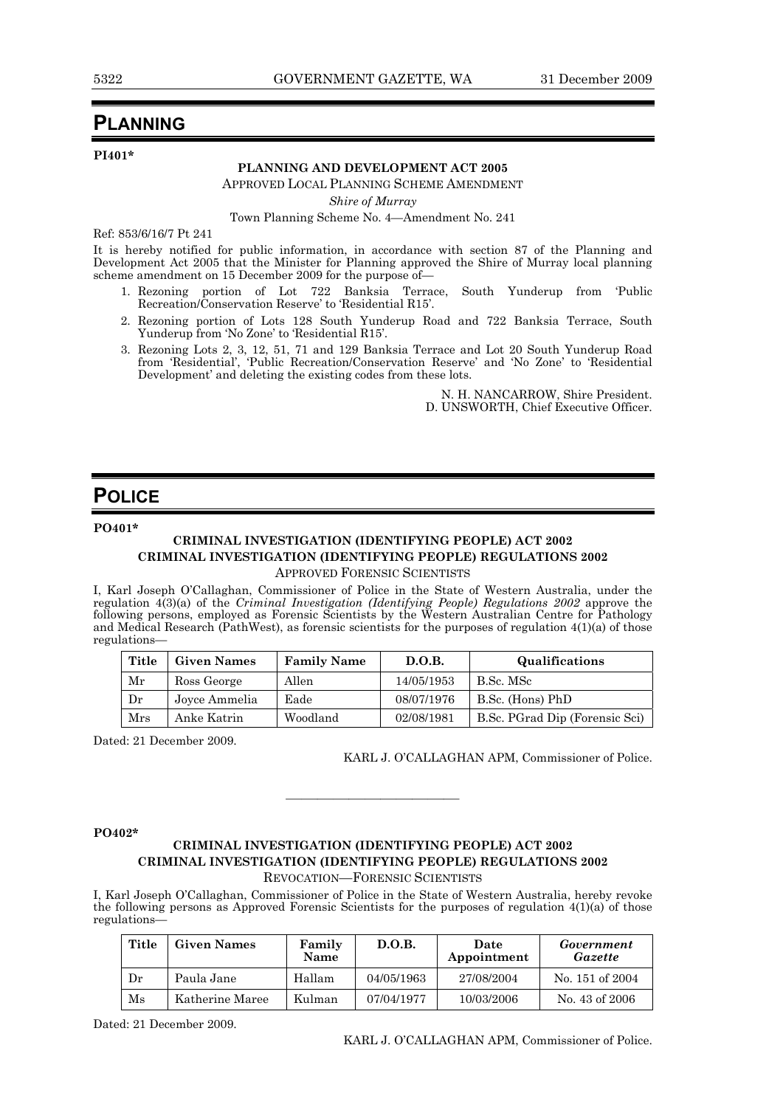## **PLANNING**

**PI401\*** 

#### **PLANNING AND DEVELOPMENT ACT 2005**

APPROVED LOCAL PLANNING SCHEME AMENDMENT

*Shire of Murray* 

Town Planning Scheme No. 4—Amendment No. 241

Ref: 853/6/16/7 Pt 241

It is hereby notified for public information, in accordance with section 87 of the Planning and Development Act 2005 that the Minister for Planning approved the Shire of Murray local planning scheme amendment on 15 December 2009 for the purpose of—

- 1. Rezoning portion of Lot 722 Banksia Terrace, South Yunderup from 'Public Recreation/Conservation Reserve' to 'Residential R15'.
- 2. Rezoning portion of Lots 128 South Yunderup Road and 722 Banksia Terrace, South Yunderup from 'No Zone' to 'Residential R15'.
	- 3. Rezoning Lots 2, 3, 12, 51, 71 and 129 Banksia Terrace and Lot 20 South Yunderup Road from 'Residential', 'Public Recreation/Conservation Reserve' and 'No Zone' to 'Residential Development' and deleting the existing codes from these lots.

N. H. NANCARROW, Shire President. D. UNSWORTH, Chief Executive Officer.

## **POLICE**

**PO401\*** 

## **CRIMINAL INVESTIGATION (IDENTIFYING PEOPLE) ACT 2002 CRIMINAL INVESTIGATION (IDENTIFYING PEOPLE) REGULATIONS 2002**

APPROVED FORENSIC SCIENTISTS

I, Karl Joseph O'Callaghan, Commissioner of Police in the State of Western Australia, under the regulation 4(3)(a) of the *Criminal Investigation (Identifying People) Regulations 2002* approve the following persons, employed as Forensic Scientists by the Western Australian Centre for Pathology and Medical Research (PathWest), as forensic scientists for the purposes of regulation 4(1)(a) of those regulations—

| Title | <b>Given Names</b> | <b>Family Name</b> | D.O.B.     | Qualifications                 |
|-------|--------------------|--------------------|------------|--------------------------------|
| Mr    | Ross George        | Allen              | 14/05/1953 | B.Sc. MSc                      |
| Dr    | Joyce Ammelia      | Eade               | 08/07/1976 | B.Sc. (Hons) PhD               |
| Mrs   | Anke Katrin        | Woodland           | 02/08/1981 | B.Sc. PGrad Dip (Forensic Sci) |

Dated: 21 December 2009.

KARL J. O'CALLAGHAN APM, Commissioner of Police.

**PO402\*** 

#### **CRIMINAL INVESTIGATION (IDENTIFYING PEOPLE) ACT 2002 CRIMINAL INVESTIGATION (IDENTIFYING PEOPLE) REGULATIONS 2002**  REVOCATION—FORENSIC SCIENTISTS

———————————

I, Karl Joseph O'Callaghan, Commissioner of Police in the State of Western Australia, hereby revoke

the following persons as Approved Forensic Scientists for the purposes of regulation  $4(1)(a)$  of those regulations—

| Title    | <b>Given Names</b> | Family<br>Name | D.O.B.     | Date<br>Appointment | Government<br>Gazette |
|----------|--------------------|----------------|------------|---------------------|-----------------------|
| Dr       | Paula Jane         | Hallam         | 04/05/1963 | 27/08/2004          | No. 151 of 2004       |
| $\rm Ms$ | Katherine Maree    | Kulman         | 07/04/1977 | 10/03/2006          | No. 43 of 2006        |

Dated: 21 December 2009.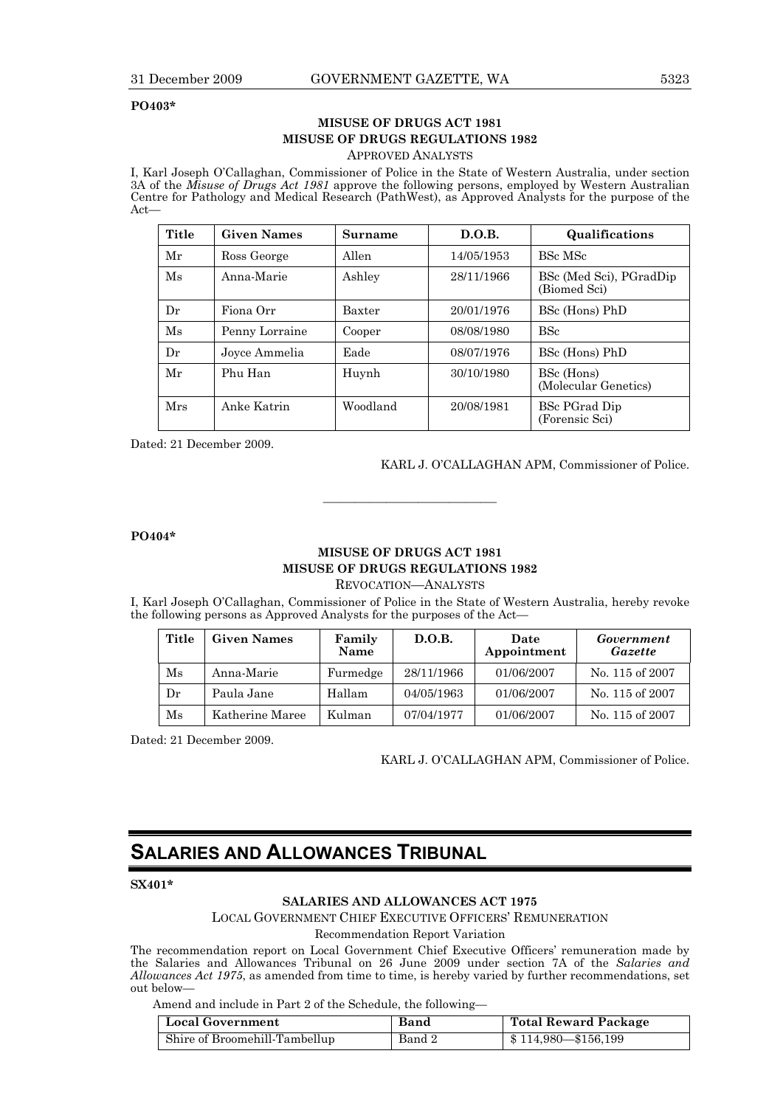#### **PO403\***

## **MISUSE OF DRUGS ACT 1981 MISUSE OF DRUGS REGULATIONS 1982**

APPROVED ANALYSTS

I, Karl Joseph O'Callaghan, Commissioner of Police in the State of Western Australia, under section 3A of the *Misuse of Drugs Act 1981* approve the following persons, employed by Western Australian Centre for Pathology and Medical Research (PathWest), as Approved Analysts for the purpose of the Act—

| Title                      | <b>Given Names</b> | Surname    | D.O.B.                                  | Qualifications                         |
|----------------------------|--------------------|------------|-----------------------------------------|----------------------------------------|
| Mr                         | Ross George        | Allen      | 14/05/1953                              | BSc MSc                                |
| Ms<br>Ashley<br>Anna-Marie |                    | 28/11/1966 | BSc (Med Sci), PGradDip<br>(Biomed Sci) |                                        |
| Dr                         | Fiona Orr          | Baxter     | 20/01/1976                              | BSc (Hons) PhD                         |
| $\overline{\text{Ms}}$     | Penny Lorraine     | Cooper     | 08/08/1980                              | <b>BSc</b>                             |
| Dr                         | Joyce Ammelia      | Eade       | 08/07/1976                              | BSc (Hons) PhD                         |
| Mr                         | Phu Han            | Huynh      | 30/10/1980                              | BSc (Hons)<br>(Molecular Genetics)     |
| Mrs                        | Anke Katrin        | Woodland   | 20/08/1981                              | <b>BSc PGrad Dip</b><br>(Forensic Sci) |

Dated: 21 December 2009.

#### KARL J. O'CALLAGHAN APM, Commissioner of Police.

**PO404\*** 

### **MISUSE OF DRUGS ACT 1981 MISUSE OF DRUGS REGULATIONS 1982**

———————————

REVOCATION—ANALYSTS

I, Karl Joseph O'Callaghan, Commissioner of Police in the State of Western Australia, hereby revoke the following persons as Approved Analysts for the purposes of the Act—

| Title    | <b>Given Names</b> | Family<br>Name | D.O.B.     | Date<br>Appointment | Government<br>Gazette |
|----------|--------------------|----------------|------------|---------------------|-----------------------|
| $\rm Ms$ | Anna-Marie         | Furmedge       | 28/11/1966 | 01/06/2007          | No. 115 of 2007       |
| Dr       | Paula Jane         | Hallam         | 04/05/1963 | 01/06/2007          | No. 115 of 2007       |
| Ms       | Katherine Maree    | Kulman         | 07/04/1977 | 01/06/2007          | No. 115 of 2007       |

Dated: 21 December 2009.

KARL J. O'CALLAGHAN APM, Commissioner of Police.

## **SALARIES AND ALLOWANCES TRIBUNAL**

#### **SX401\***

#### **SALARIES AND ALLOWANCES ACT 1975**

LOCAL GOVERNMENT CHIEF EXECUTIVE OFFICERS' REMUNERATION

Recommendation Report Variation

The recommendation report on Local Government Chief Executive Officers' remuneration made by the Salaries and Allowances Tribunal on 26 June 2009 under section 7A of the *Salaries and Allowances Act 1975*, as amended from time to time, is hereby varied by further recommendations, set out below—

Amend and include in Part 2 of the Schedule, the following—

| <b>Local Government</b>       | Band   | Total Reward Package                             |
|-------------------------------|--------|--------------------------------------------------|
| Shire of Broomehill-Tambellup | Band 2 | $\frac{1}{2}$ \$ 114,980 $\rightarrow$ \$156,199 |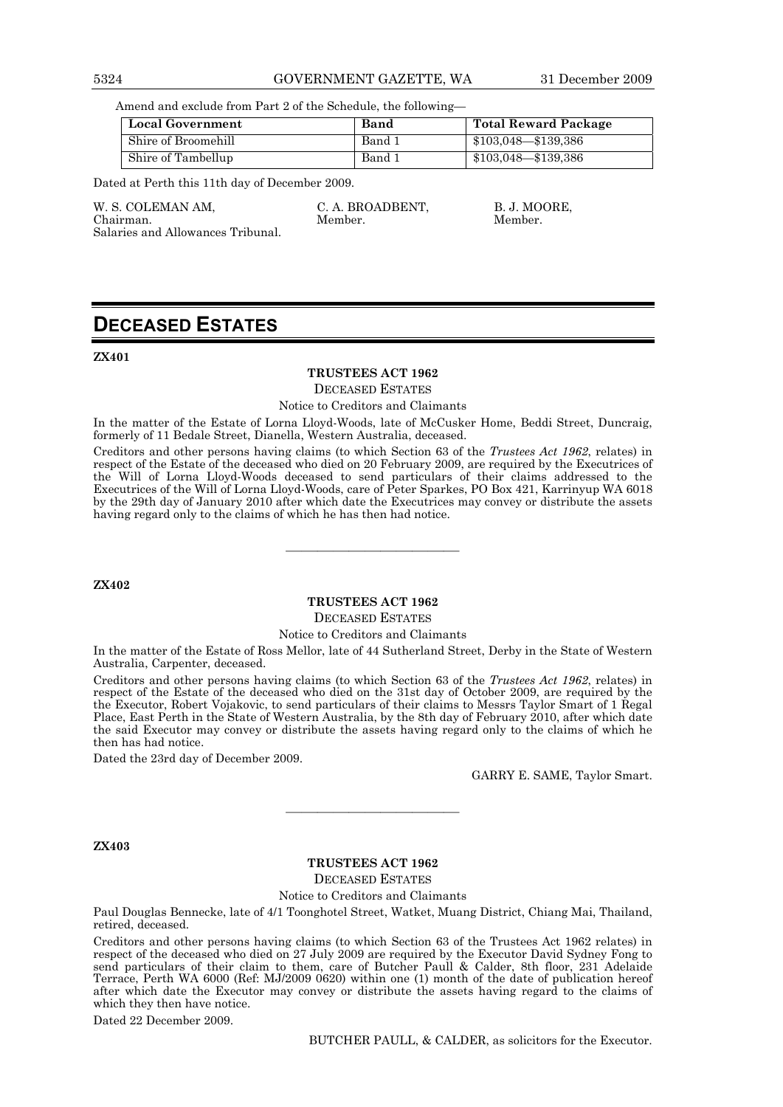#### 5324 GOVERNMENT GAZETTE, WA 31 December 2009

Amend and exclude from Part 2 of the Schedule, the following—

| <b>Local Government</b> | Band   | Total Reward Package    |
|-------------------------|--------|-------------------------|
| Shire of Broomehill     | Band 1 | $$103,048 - $139,386$   |
| Shire of Tambellup      | Band 1 | $$103,048$ — $$139,386$ |

Dated at Perth this 11th day of December 2009.

W. S. COLEMAN AM. C. A. BROADBENT, B. J. MOORE,

Chairman. Member. Member.

# Salaries and Allowances Tribunal.

## **DECEASED ESTATES**

**ZX401** 

#### **TRUSTEES ACT 1962**

DECEASED ESTATES

Notice to Creditors and Claimants

In the matter of the Estate of Lorna Lloyd-Woods, late of McCusker Home, Beddi Street, Duncraig, formerly of 11 Bedale Street, Dianella, Western Australia, deceased.

Creditors and other persons having claims (to which Section 63 of the *Trustees Act 1962*, relates) in respect of the Estate of the deceased who died on 20 February 2009, are required by the Executrices of the Will of Lorna Lloyd-Woods deceased to send particulars of their claims addressed to the Executrices of the Will of Lorna Lloyd-Woods, care of Peter Sparkes, PO Box 421, Karrinyup WA 6018 by the 29th day of January 2010 after which date the Executrices may convey or distribute the assets having regard only to the claims of which he has then had notice.

**ZX402** 

## **TRUSTEES ACT 1962**

———————————

DECEASED ESTATES

#### Notice to Creditors and Claimants

In the matter of the Estate of Ross Mellor, late of 44 Sutherland Street, Derby in the State of Western Australia, Carpenter, deceased.

Creditors and other persons having claims (to which Section 63 of the *Trustees Act 1962*, relates) in respect of the Estate of the deceased who died on the 31st day of October 2009, are required by the the Executor, Robert Vojakovic, to send particulars of their claims to Messrs Taylor Smart of 1 Regal Place, East Perth in the State of Western Australia, by the 8th day of February 2010, after which date the said Executor may convey or distribute the assets having regard only to the claims of which he then has had notice.

Dated the 23rd day of December 2009.

GARRY E. SAME, Taylor Smart.

**ZX403** 

#### **TRUSTEES ACT 1962**

———————————

DECEASED ESTATES

Notice to Creditors and Claimants

Paul Douglas Bennecke, late of 4/1 Toonghotel Street, Watket, Muang District, Chiang Mai, Thailand, retired, deceased.

Creditors and other persons having claims (to which Section 63 of the Trustees Act 1962 relates) in respect of the deceased who died on 27 July 2009 are required by the Executor David Sydney Fong to send particulars of their claim to them, care of Butcher Paull & Calder, 8th floor, 231 Adelaide Terrace, Perth WA 6000 (Ref: MJ/2009 0620) within one (1) month of the date of publication hereof after which date the Executor may convey or distribute the assets having regard to the claims of which they then have notice.

Dated 22 December 2009.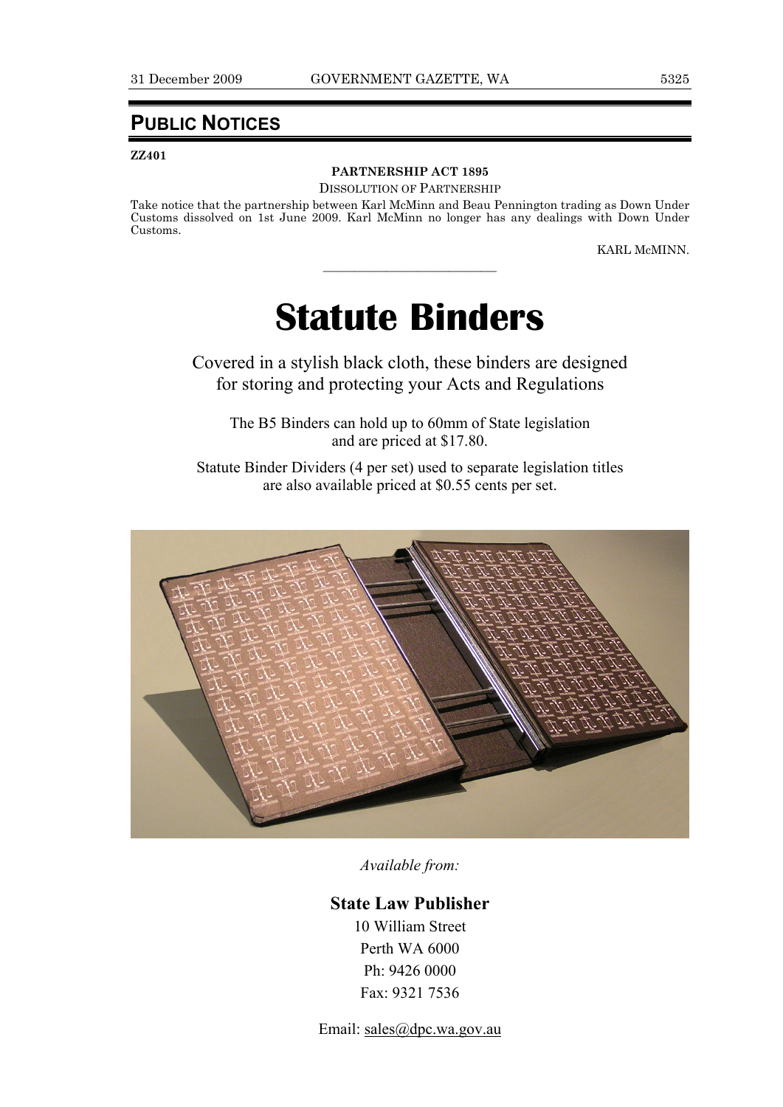## **PUBLIC NOTICES**

#### **ZZ401**

## **PARTNERSHIP ACT 1895**

DISSOLUTION OF PARTNERSHIP

Take notice that the partnership between Karl McMinn and Beau Pennington trading as Down Under Customs dissolved on 1st June 2009. Karl McMinn no longer has any dealings with Down Under Customs.

KARL McMINN.

# **Statute Binders**

———————————

Covered in a stylish black cloth, these binders are designed for storing and protecting your Acts and Regulations

The B5 Binders can hold up to 60mm of State legislation and are priced at \$17.80.

Statute Binder Dividers (4 per set) used to separate legislation titles are also available priced at \$0.55 cents per set.



*Available from:* 

### **State Law Publisher**

10 William Street Perth WA 6000 Ph: 9426 0000 Fax: 9321 7536

Email: sales@dpc.wa.gov.au